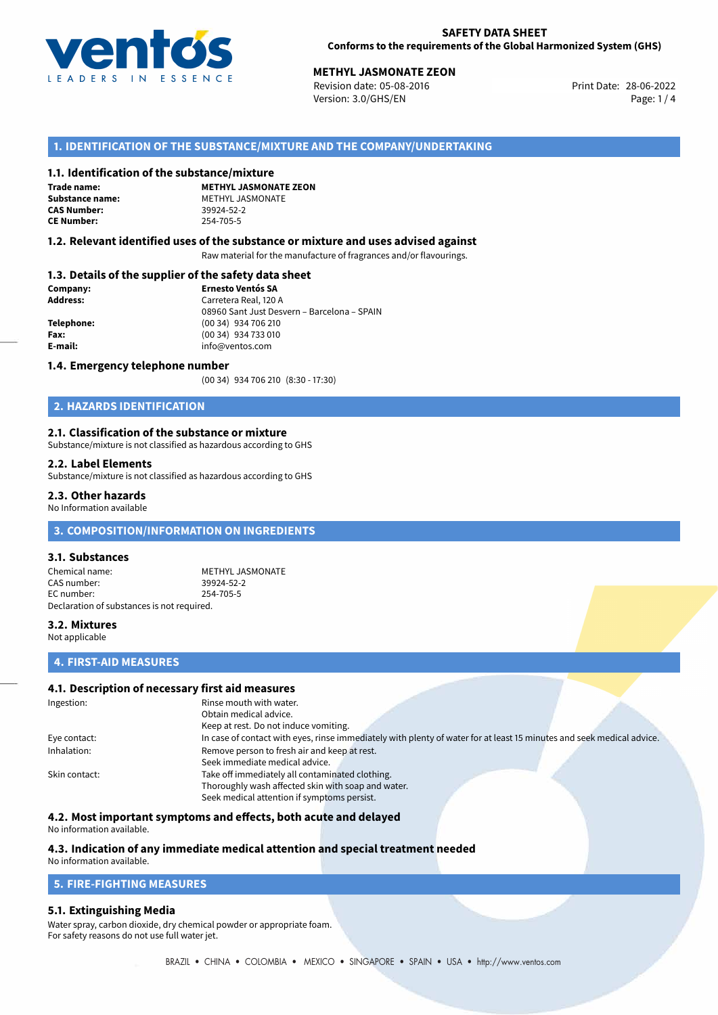

# **METHYL JASMONATE ZEON**<br>
Revision date: 05-08-2016<br> **Print Date: 28-06-2022**

Revision date: 05-08-2016 Version: 3.0/GHS/EN Page: 1 / 4

# **1. IDENTIFICATION OF THE SUBSTANCE/MIXTURE AND THE COMPANY/UNDERTAKING**

#### **1.1. Identification of the substance/mixture**

**Trade name: CAS Number: CE Number:** 254-705-5

**METHYL JASMONATE ZEON Substance name:** METHYL JASMONATE<br> **CAS Number:** 39924-52-2

#### **1.2. Relevant identified uses of the substance or mixture and uses advised against**

Raw material for the manufacture of fragrances and/or flavourings.

# **1.3. Details of the supplier of the safety data sheet**

| Company:   | <b>Ernesto Ventós SA</b>                    |  |
|------------|---------------------------------------------|--|
| Address:   | Carretera Real, 120 A                       |  |
|            | 08960 Sant Just Desvern - Barcelona - SPAIN |  |
| Telephone: | (00 34) 934 706 210                         |  |
| Fax:       | (00 34) 934 733 010                         |  |
| E-mail:    | info@ventos.com                             |  |
|            |                                             |  |

#### **1.4. Emergency telephone number**

(00 34) 934 706 210 (8:30 - 17:30)

# **2. HAZARDS IDENTIFICATION**

#### **2.1. Classification of the substance or mixture**

Substance/mixture is not classified as hazardous according to GHS

#### **2.2. Label Elements**

Substance/mixture is not classified as hazardous according to GHS

#### **2.3. Other hazards**

No Information available

# **3. COMPOSITION/INFORMATION ON INGREDIENTS**

#### **3.1. Substances**

Chemical name: METHYL JASMONATE<br>
CAS number: 39924-52-2 CAS number: EC number: 254-705-5 Declaration of substances is not required.

#### **3.2. Mixtures**

Not applicable

# **4. FIRST-AID MEASURES**

## **4.1. Description of necessary first aid measures**

| Ingestion:    | Rinse mouth with water.                                                                                               |  |  |
|---------------|-----------------------------------------------------------------------------------------------------------------------|--|--|
|               | Obtain medical advice.                                                                                                |  |  |
|               | Keep at rest. Do not induce vomiting.                                                                                 |  |  |
| Eye contact:  | In case of contact with eyes, rinse immediately with plenty of water for at least 15 minutes and seek medical advice. |  |  |
| Inhalation:   | Remove person to fresh air and keep at rest.                                                                          |  |  |
|               | Seek immediate medical advice.                                                                                        |  |  |
| Skin contact: | Take off immediately all contaminated clothing.                                                                       |  |  |
|               | Thoroughly wash affected skin with soap and water.                                                                    |  |  |
|               | Seek medical attention if symptoms persist.                                                                           |  |  |

#### **4.2. Most important symptoms and effects, both acute and delayed**

No information available.

# **4.3. Indication of any immediate medical attention and special treatment needed**

# No information available.

# **5. FIRE-FIGHTING MEASURES**

#### **5.1. Extinguishing Media**

Water spray, carbon dioxide, dry chemical powder or appropriate foam. For safety reasons do not use full water jet.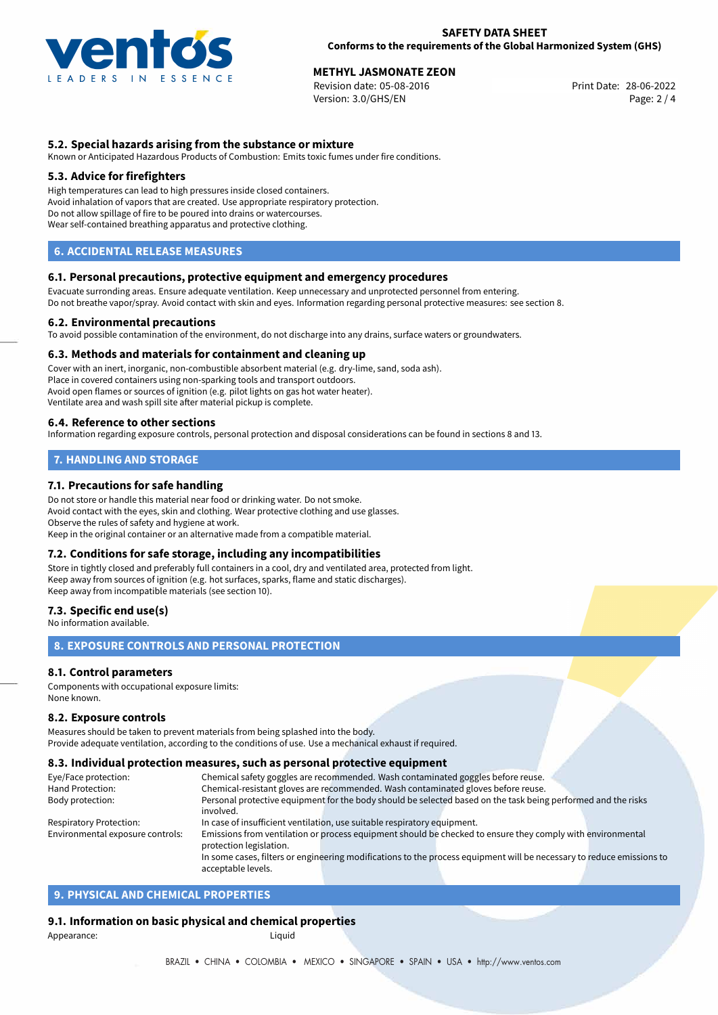

**METHYL JASMONATE ZEON**<br>
Revision date: 05-08-2016 **Print Date: 28-06-2022** Version: 3.0/GHS/EN Page: 2 / 4

# **5.2. Special hazards arising from the substance or mixture**

Known or Anticipated Hazardous Products of Combustion: Emits toxic fumes under fire conditions.

#### **5.3. Advice for firefighters**

High temperatures can lead to high pressures inside closed containers. Avoid inhalation of vapors that are created. Use appropriate respiratory protection. Do not allow spillage of fire to be poured into drains or watercourses. Wear self-contained breathing apparatus and protective clothing.

### **6. ACCIDENTAL RELEASE MEASURES**

#### **6.1. Personal precautions, protective equipment and emergency procedures**

Evacuate surronding areas. Ensure adequate ventilation. Keep unnecessary and unprotected personnel from entering. Do not breathe vapor/spray. Avoid contact with skin and eyes. Information regarding personal protective measures: see section 8.

#### **6.2. Environmental precautions**

To avoid possible contamination of the environment, do not discharge into any drains, surface waters or groundwaters.

#### **6.3. Methods and materials for containment and cleaning up**

Cover with an inert, inorganic, non-combustible absorbent material (e.g. dry-lime, sand, soda ash). Place in covered containers using non-sparking tools and transport outdoors. Avoid open flames or sources of ignition (e.g. pilot lights on gas hot water heater). Ventilate area and wash spill site after material pickup is complete.

#### **6.4. Reference to other sections**

Information regarding exposure controls, personal protection and disposal considerations can be found in sections 8 and 13.

# **7. HANDLING AND STORAGE**

#### **7.1. Precautions for safe handling**

Do not store or handle this material near food or drinking water. Do not smoke. Avoid contact with the eyes, skin and clothing. Wear protective clothing and use glasses. Observe the rules of safety and hygiene at work. Keep in the original container or an alternative made from a compatible material.

#### **7.2. Conditions for safe storage, including any incompatibilities**

Store in tightly closed and preferably full containers in a cool, dry and ventilated area, protected from light. Keep away from sources of ignition (e.g. hot surfaces, sparks, flame and static discharges). Keep away from incompatible materials (see section 10).

#### **7.3. Specific end use(s)**

No information available.

### **8. EXPOSURE CONTROLS AND PERSONAL PROTECTION**

#### **8.1. Control parameters**

Components with occupational exposure limits: None known.

#### **8.2. Exposure controls**

Measures should be taken to prevent materials from being splashed into the body. Provide adequate ventilation, according to the conditions of use. Use a mechanical exhaust if required.

#### **8.3. Individual protection measures, such as personal protective equipment**

acceptable levels.

| Eye/Face protection:             | Chemical safety goggles are recommended. Wash contaminated goggles before reuse.                                      |  |  |  |  |
|----------------------------------|-----------------------------------------------------------------------------------------------------------------------|--|--|--|--|
| Hand Protection:                 | Chemical-resistant gloves are recommended. Wash contaminated gloves before reuse.                                     |  |  |  |  |
| Body protection:                 | Personal protective equipment for the body should be selected based on the task being performed and the risks         |  |  |  |  |
|                                  | involved.                                                                                                             |  |  |  |  |
| <b>Respiratory Protection:</b>   | In case of insufficient ventilation, use suitable respiratory equipment.                                              |  |  |  |  |
| Environmental exposure controls: | Emissions from ventilation or process equipment should be checked to ensure they comply with environmental            |  |  |  |  |
|                                  | protection legislation.                                                                                               |  |  |  |  |
|                                  | In some cases, filters or engineering modifications to the process equipment will be necessary to reduce emissions to |  |  |  |  |
|                                  |                                                                                                                       |  |  |  |  |

# **9. PHYSICAL AND CHEMICAL PROPERTIES**

#### **9.1. Information on basic physical and chemical properties**

Appearance: Liquid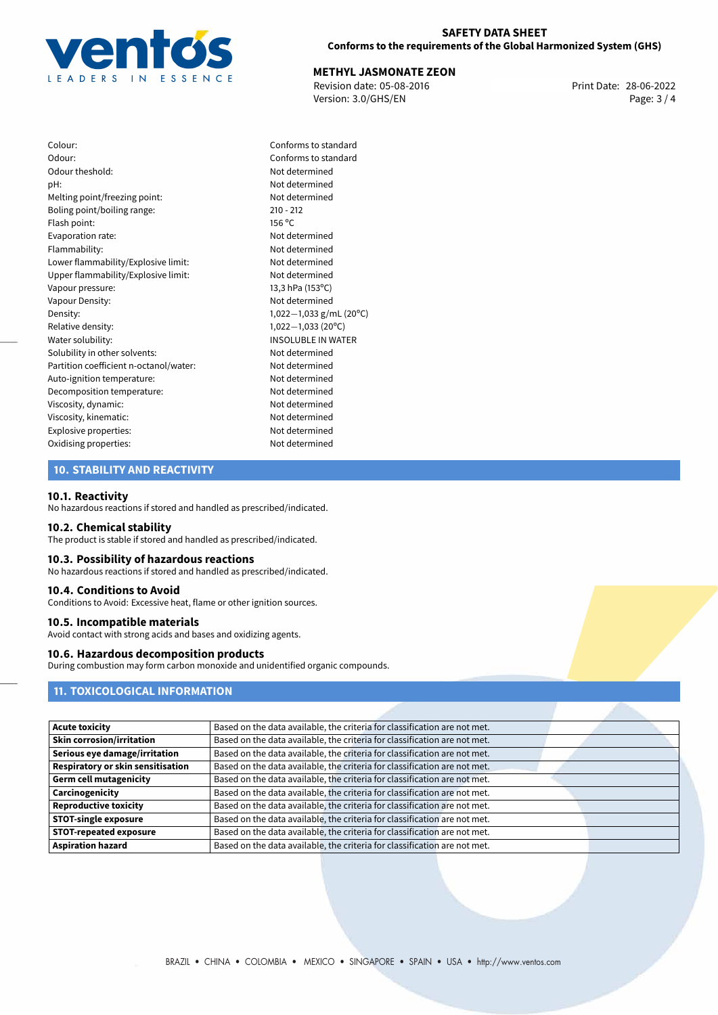

#### **SAFETY DATA SHEET Conforms to the requirements of the Global Harmonized System (GHS)**

# **METHYL JASMONATE ZEON**<br>
Revision date: 05-08-2016 **Mateur Accord Print Date: 28-06-2022**

Revision date: 05-08-2016 Version: 3.0/GHS/EN Page: 3 / 4

Colour: Conforms to standard Odour: Conforms to standard Odour theshold: Not determined pH: Not determined Melting point/freezing point: Not determined Boling point/boiling range: 210 - 212 Flash point: 156 °C Evaporation rate: Not determined Flammability: Not determined Lower flammability/Explosive limit: Not determined Upper flammability/Explosive limit: Not determined Vapour pressure: 13,3 hPa (153°C) Vapour Density: Vapour Density: Density: 1,022−1,033 g/mL (20°C)<br>Relative density: 1,022−1,033 (20°C) Relative density: 1,022−1,033 (20°C)<br>Water solubility: 1,022−1,033 (20°C) Solubility in other solvents: Not determined Partition coefficient n-octanol/water: Not determined Auto-ignition temperature: Not determined Decomposition temperature: Not determined Viscosity, dynamic: Not determined Viscosity, kinematic: Not determined Explosive properties: Not determined Oxidising properties: Not determined

**INSOLUBLE IN WATER** 

# **10. STABILITY AND REACTIVITY**

#### **10.1. Reactivity**

No hazardous reactions if stored and handled as prescribed/indicated.

#### **10.2. Chemical stability**

The product is stable if stored and handled as prescribed/indicated.

#### **10.3. Possibility of hazardous reactions**

No hazardous reactions if stored and handled as prescribed/indicated.

#### **10.4. Conditions to Avoid**

Conditions to Avoid: Excessive heat, flame or other ignition sources.

#### **10.5. Incompatible materials**

Avoid contact with strong acids and bases and oxidizing agents.

# **10.6. Hazardous decomposition products**

During combustion may form carbon monoxide and unidentified organic compounds.

# **11. TOXICOLOGICAL INFORMATION**

| <b>Acute toxicity</b>             | Based on the data available, the criteria for classification are not met. |
|-----------------------------------|---------------------------------------------------------------------------|
| <b>Skin corrosion/irritation</b>  | Based on the data available, the criteria for classification are not met. |
| Serious eye damage/irritation     | Based on the data available, the criteria for classification are not met. |
| Respiratory or skin sensitisation | Based on the data available, the criteria for classification are not met. |
| <b>Germ cell mutagenicity</b>     | Based on the data available, the criteria for classification are not met. |
| Carcinogenicity                   | Based on the data available, the criteria for classification are not met. |
| <b>Reproductive toxicity</b>      | Based on the data available, the criteria for classification are not met. |
| <b>STOT-single exposure</b>       | Based on the data available, the criteria for classification are not met. |
| <b>STOT-repeated exposure</b>     | Based on the data available, the criteria for classification are not met. |
| <b>Aspiration hazard</b>          | Based on the data available, the criteria for classification are not met. |
|                                   |                                                                           |